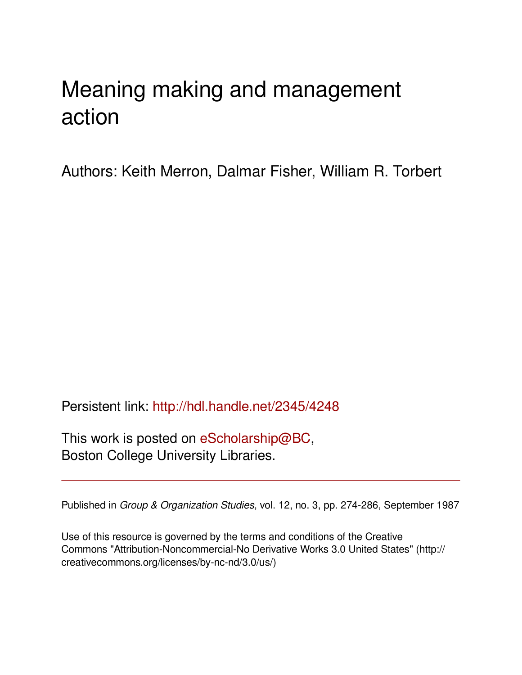# Meaning making and management action

Authors: Keith Merron, Dalmar Fisher, William R. Torbert

Persistent link: <http://hdl.handle.net/2345/4248>

This work is posted on [eScholarship@BC](http://escholarship.bc.edu), Boston College University Libraries.

Published in *Group & Organization Studies*, vol. 12, no. 3, pp. 274-286, September 1987

Use of this resource is governed by the terms and conditions of the Creative Commons "Attribution-Noncommercial-No Derivative Works 3.0 United States" (http:// creativecommons.org/licenses/by-nc-nd/3.0/us/)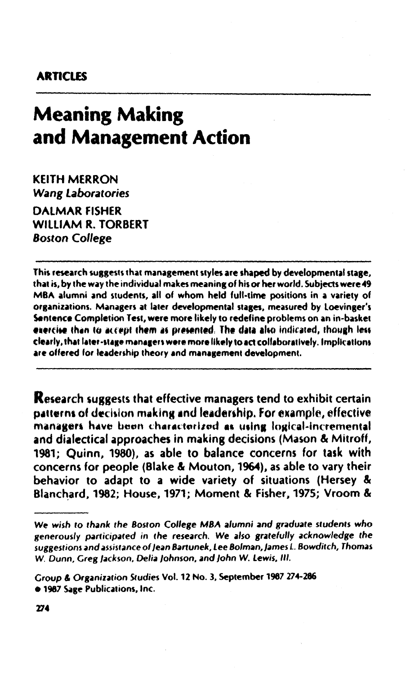### **ARTICLES**

# **Meaning Making** and Management Action

**KEITH MERRON Wang Laboratories DALMAR FISHER WILLIAM R. TORBERT Boston College** 

This research suggests that management styles are shaped by developmental stage. that is, by the way the individual makes meaning of his or her world. Subjects were 49 MBA alumni and students, all of whom held full-time positions in a variety of organizations. Managers at later developmental stages, measured by Loevinger's Sentence Completion Test, were more likely to redefine problems on an in-basket exercise than to accept them as presented. The data also indicated, though less clearly, that later-stage managers were more likely to act collaboratively, implications are offered for leadership theory and management development.

**Research suggests that effective managers tend to exhibit certain** patterns of decision making and leadership. For example, effective managers have been characterized as using logical-incremental and dialectical approaches in making decisions (Mason & Mitroff, 1981: Quinn, 1980), as able to balance concerns for task with concerns for people (Blake & Mouton, 1964), as able to vary their behavior to adapt to a wide variety of situations (Hersey & Blanchard, 1982; House, 1971; Moment & Fisher, 1975; Vroom &

 $274$ 

We wish to thank the Boston College MBA alumni and graduate students who generously participated in the research. We also gratefully acknowledge the suggestions and assistance of Jean Bartunek, Lee Bolman, James L. Bowditch, Thomas W. Dunn, Greg Jackson, Delia Johnson, and John W. Lewis, III.

Group & Organization Studies Vol. 12 No. 3, September 1987 274-286 · 1987 Sage Publications, Inc.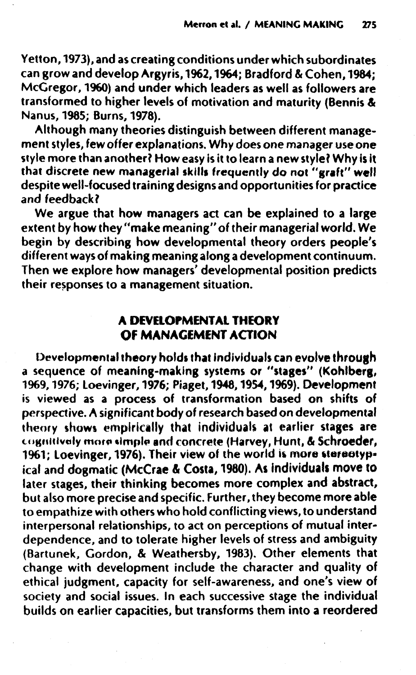Yetton, 1973), and as creating conditions under which subordinates can grow and develop Argyris, 1962, 1964; Bradford & Cohen, 1984;<br>McGregor, 1960) and under which leaders as well as followers are transformed to higher levels of motivation and maturity (Bennis & Nanus, 1985; Burns, 1978).

Although many theories distinguish between different management styles, few offer explanations. Why does one manager use one style more than another? How easy is it to learn a new style? Why is it<br>that discrete new managerial skills frequently do not "graft" well despite well-focused training designs and opportunities for practice and feedback?

We argue that how managers act can be explained to a large extent by how they "make meaning" of their managerial world. We<br>begin by describing how developmental theory orders people's different ways of making meaning along a development continuum. Then we explore how managers' developmental position predicts their responses to a management situation.

## A DEVELOPMENTAL THEORY OF MANAGEMENT ACTION

Developmental theory holds that individuals can evolve through a sequence of meaning-making systems or "stages" (Kohlberg, 1969, 1976; Loevinger, 1976; Piaget, 1948, 1954, 1969). Development is viewed as a process of transformation based on shifts of perspective. A significant body of research based on developmental theory shows empirically that individuals at earlier stages are cognitively more simple and concrete (Harvey, Hunt, & Schroeder,<br>1961; Loevinger, 1976). Their view of the world is more stereotypical and dogmatic (McCrae & Costa, 1980). As individuals move to<br>later stages, their thinking becomes more complex and abstract, but also more precise and specific. Further, they become more able to empathize with others who hold conflicting views, to understand interpersonal relationships, to act on perceptions of mutual interdependence, and to tolerate higher levels of stress and ambiguity (Bartunek, Gordon, & Weathersby, 1983). Other elements that<br>change with development include the character and quality of ethical judgment, capacity for self-awareness, and one's view of society and social issues. In each successive stage the individual builds on earlier capacities, but transforms them into a reordered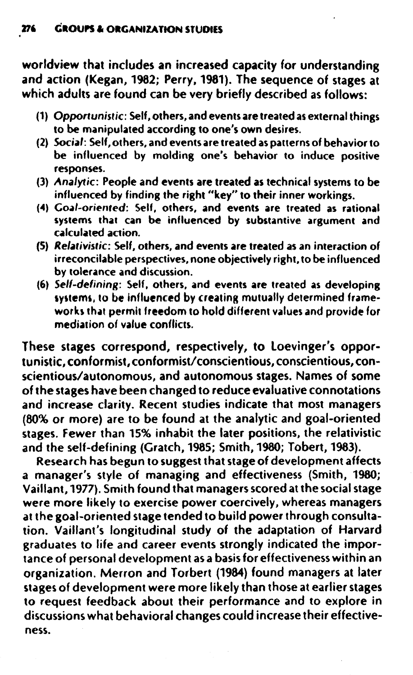worldview that includes an increased capacity for understanding and action (kegan, 1982; Perry. 1981). The sequence of stages at which adults are found can be very briefly described as follows:

- (1) *Opportunistic:* Self, others, and events are treated as external things to be manipulated according to one's own desires.
- (2) Social: Self, others, and events are treated as patterns of behavior to be influenced by molding one's behavior to induce positive responses.
- (3) Analytic: People and events are treated as technical systems to be influenced by finding the right "key" to their inner workings.
- (4) Goal-oriented: Self, others, and events are treated as rational systems that can be influenced by substantive argument and calculated action.
- (S) *Relativistic:* Self, others, and events are treated as an interaction of irreconcilable perspectives, none objectively right. to be influenced by tolerance and discussion.
- (6) Self-defining: Self. others, and events are treated as developing systems, to be influenced by creating mutually determined frameworks that permit freedom to hold different values and provide for mediation of value conflicts.

These stages correspond, respectively, to loevinger's opportunistic, conformist, conformist/conscientious, conscientious, conscientious/autonomous, and autonomous stages. Names of some of the stages have been changed to reduce evaluative connotations and increase clarity. Recent studies indicate that most managers (80% or more) are to be found at the analytic and goal-oriented stages. Fewer than 15% inhabit the later positions, the relativistic and the self-defining (Gratch, 1985; Smith, 1980; Tobert, 1983).

Research has begun to suggest that stage of development affects a manager's style of managing and effectiveness (Smith. 1980; Vaillant, 1977). Smith found that managersscored at the socialstage were more likely to exercise power coercively, whereas managers at the goal-oriented stage tended to build power through consultation. Vaillant's longitudinal study of the adaptation of Harvard graduates to life and career events strongly indicated the importance of personal development as a basisfor effectiveness within an organization. Merron and Torbert (1984) found managers at later stages of development were more likely than those at earlier stages to request feedback about their performance and to explore in discussions what behavioral changes could increase their effective.. ness.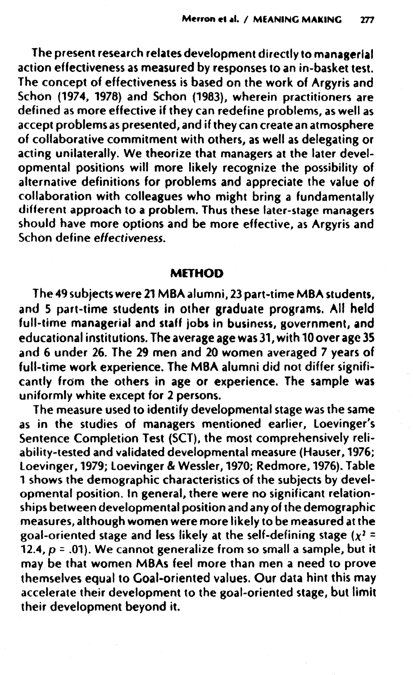The present research relates development directly to managerial action effectiveness as measured by responses to an in-basket test. The concept of effectiveness is based on the work of Argyris and Schon (1974, 1978) and Schon (1983), wherein practitioners are defined as more effective if they can redefine problems, as well as accept problems as presented, and if they can create an atmosphere of collaborative commitment with others, as well as delegating or acting unilaterally. We theorize that managers at the later developmental positions will more likely recognize the possibility of alternative definitions for problems and appreciate the value of collaboration with colleagues who might bring a fundamentally different approach to a problem. Thus these later-stage managers should have more options and be more effective, as Argyris and Schon define effectiveness.

#### **METHOD**

The 49 subjects were 21 MBA alumni, 23 part-time MBA students, and 5 part-time students in other graduate programs. All held full-time managerial and staff jobs in business, government, and educational institutions. The average age was 31, with 10 over age 35 and 6 under 26. The 29 men and 20 women averaged 7 years of full-time work experience. The MBA alumni did not differ significantly from the others in age or experience. The sample was uniformly white except for 2 persons.

The measure used to identify developmental stage was the same as in the studies of managers mentioned earlier, Loevinger's Sentence Completion Test (SCT), the most comprehensively reliability-tested and validated developmental measure (Hauser, 1976; loevinger, 1979; loevinger & Wessler, 1970; Redmore, 1976). Table 1 shows the demographic characteristics of the subjects by developmental position. In general, there were no significant relationships between developmental position and any of the demographic measures, although women were more likely to be measured at the goal-oriented stage and less likely at the self-defining stage  $(x^2 =$ *12.4, P* =.01). We cannot generalize from so small a sample, but it may be that women MBAs feel more than men a need to prove themselves equal to Goal-oriented values. Our data hint this may accelerate their development to the goal-oriented stage, but limit their development beyond it.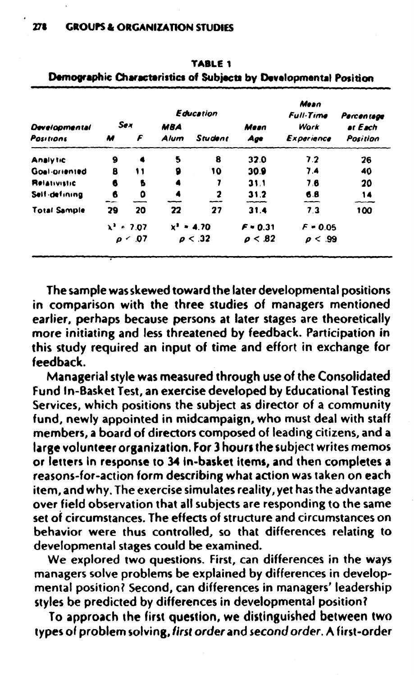|                                   | Education            |                |                    |                         |              | Mean<br><b>Full-Time</b> | Percentage          |  |
|-----------------------------------|----------------------|----------------|--------------------|-------------------------|--------------|--------------------------|---------------------|--|
| <b>Developmental</b><br>Positions | <b>Sex</b><br>F<br>M |                | <b>MBA</b><br>Alum | Student                 | Mesn<br>Age  | Work<br>Experience       | at Each<br>Position |  |
| <b>Analytic</b>                   | 9                    |                | 5                  | 8                       | 32.0         | 7.2                      | 26                  |  |
| Goal oriented                     | 8                    | 11             | 9                  | 10                      | 30.9         | 7.4                      | 40                  |  |
| <b>Relativistic</b>               | 6                    | s              | 4                  |                         | 31.1         | 7.6                      | 20                  |  |
| Self-defining                     | 6                    | ٥              |                    | $\overline{\mathbf{z}}$ | 31.2         | 6.8                      | 14                  |  |
| <b>Total Sample</b>               | 29                   | 20             | 22                 | 27                      | 31.4         | 7.3                      | 100                 |  |
|                                   | $x^2$ = 7.07         |                | $x^2 - 4.70$       |                         | $F = 0.31$   | $F = 0.05$               |                     |  |
|                                   |                      | $\rho \sim 07$ |                    | $\rho < 32$             | $\rho < .82$ | $\rho < .99$             |                     |  |

TABLE 1 Demographic Characteristics of Subjects by Developmental Position

The sample was skewed toward the later developmental positions in comparison with the three studies of managers mentioned earlier, perhaps because persons at later stages are theoretically more initiating and less threatened by feedback. Participation in this study required an input of time and effort in exchange for feedback.

Managerial style was measured through use of the Consolidated Fund In-Basket Test, an exercise developed by Educational Testing Services, which positions the subject as director of a community fund, newly appointed in midcampaign, who must deal with staff members, a board of directors composed of leading citizens, and a large volunteer organization. For 3 hours the subject writes memos or letters in response to 34 in-basket items, and then completes a reasons-for-action form describing what action was taken on each item, and why. The exercise simulates reality, yet has the advantage over field observation that all subjects are responding to the same set of circumstances. The effects of structure and circumstances on behavior were thus controlled, so that differences relating to developmental stages could be examined.

We explored two questions. First, can differences in the ways managers solve problems be explained by differences in developmental position? Second, can differences in managers' leadership styles be predicted by differences in developmental position?

To approach the first question, we distinguished between two types of problem solving, first order and second order. A first-order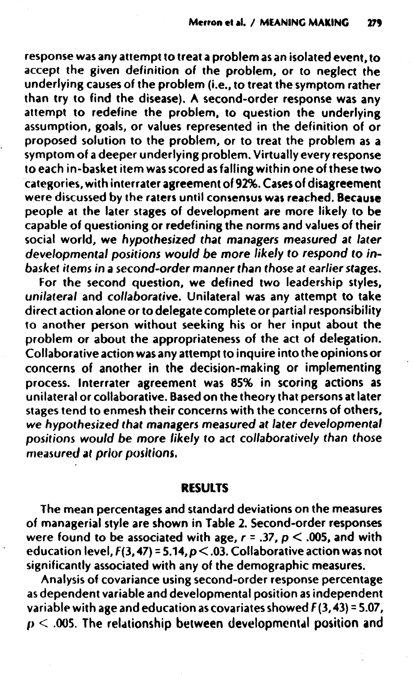response was any attempt to treat a problem as an isolated event, to accept the given definition of the problem, or to neglect the underlying causes of the problem (i.e., to treat the symptom rather than try to find the disease). A second-order response was any attempt to redefine the problem, to question the underlying assumption, goals, or values represented in the definition of or proposed solution to the problem, or to treat the problem as a symptom of a deeper underlying problem. Virtually every response to each in-basket item was scored as falling within one of these two categories, with interrater agreement of 92%. Cases of disagreement were discussed by the raters until consensus was reached. Because people at the later stages of development are more likely to be capable of questioning or redefining the norms and values of their social world, we *hypothesized that managers measured* at *later developmental positions would be more likely* to *respond to inbasket items in* a *second-order* manner *than those* at *earlierstages.*

For the second question, we defined two leadership styles, *unilateral* and *collaborative.* Unilateral was any attempt to take direct action alone or to delegate complete or partial responsibility to another person without seeking his or her input about the problem or about the appropriateness of the act of delegation. Collaborative action was any attempt to inquire into the opinions or concerns of another in the decision-making or implementing process. Interrater agreement was 85% in scoring actions as unilateral or collaborative. Based on the theory that persons at later stages tend to enmesh their concerns with the concerns of others, we *hypothesized that* managers *measured at later developmental positions would* be *more likely* to *act collaboratively than those* measured *at prior* positions.

#### RESULTS

The mean percentages and standard deviations on the measures of managerial style are shown in Table 2. Second-order responses were found to be associated with age,  $r = .37$ ,  $p < .005$ , and with education level,  $F(3, 47) = 5.14, p < .03$ . Collaborative action was not significantly associated with any of the demographic measures.

Analysis of covariance using second-order response percentage as dependent variable and developmental position as independent variable with age and education as covariates showed  $F(3,43) = 5.07$ ,  $p < .005$ . The relationship between developmental position and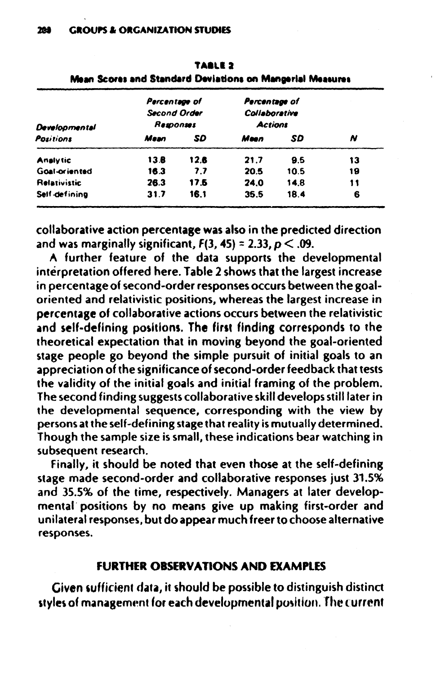| Developmental        | Percentage of<br><b>Second Order</b><br>Responses |      | Percentage of<br>Collaborative<br><b>Actions</b> |      |    |
|----------------------|---------------------------------------------------|------|--------------------------------------------------|------|----|
| Positions            | Mean                                              | SD   | Mean                                             | SD   | N  |
| <b>Analytic</b>      | 13.B                                              | 12.6 | 21.7                                             | 95   | 13 |
| <b>Goal oriented</b> | 16.3                                              | 7.7  | 20.5                                             | 10.5 | 19 |
| <b>Relativistic</b>  | 26.3                                              | 17.6 | 24.0                                             | 14.8 | 11 |
| Self-defining        | 31.7                                              | 16.1 | 35.5                                             | 18.4 | 6  |

|                                                           | TABLE <sub>2</sub> |  |  |
|-----------------------------------------------------------|--------------------|--|--|
| Mean Scores and Standard Deviations on Mangerial Measures |                    |  |  |

collaborative action percentage was also in the predicted direction and was marginally significant,  $F(3, 45) = 2.33$ ,  $p < .09$ .

A further feature of the data supports the developmental interpretation offered here. Table 2 shows that the largest increase in percentage of second-order responses occurs between the goaloriented and relativistic positions, whereas the largest increase in percentage of collaborative actions occurs between the relativistic and self-defining positions. The first finding corresponds to the theoretical expectation that in moving bevond the goal-oriented stage people go beyond the simple pursuit of initial goals to an appreciation of the significance of second-order feedback that tests the validity of the initial goals and initial framing of the problem. The second finding suggests collaborative skill develops still later in the developmental sequence, corresponding with the view by persons at the self-defining stage that reality is mutually determined. Though the sample size is small, these indications bear watching in subsequent research.

Finally, it should be noted that even those at the self-defining stage made second-order and collaborative responses just 31.5% and 35.5% of the time, respectively. Managers at later developmental positions by no means give up making first-order and unilateral responses, but do appear much freer to choose alternative responses.

#### **FURTHER OBSERVATIONS AND EXAMPLES**

Given sufficient data, it should be possible to distinguish distinct styles of management for each developmental position. The current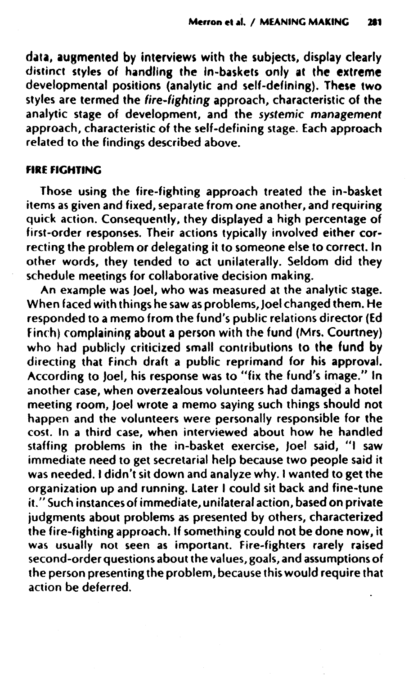data, augmented by interviews with the subjects, display clearly distinct styles of handling the in-baskets only at the extreme developmental positions (analytic and self-defining). These two styles are termed the fire-fighting approach, characteristic of the analytic stage of development, and the systemic management approach, characteristic of the self-defining stage. Each approach related to the findings described above.

#### FIRE FIGHTING

Those using the fire-fighting approach treated the in-basket items as given and fixed, separate from one another, and requiring quick action. Consequently, they displayed a high percentage of first-order responses. Their actions typically involved either correcting the problem or delegating it to someone else to correct. In other words, they tended to act unilaterally. Seldom did they schedule meetings for collaborative decision making.

An example was Joel, who was measured at the analytic stage. When faced with things he saw as problems,Joel changed them. He responded to a memo from the fund's public relations director (Ed Finch) complaining about a person with the fund (Mrs. Courtney) who had publicly criticized small contributions to the fund by directing that finch draft a public reprimand for his approval. According to Joel, his response was to "fix the fund's image." In another case, when overzealous volunteers had damaged a hotel meeting room, Joel wrote a memo saying such things should not happen and the volunteers were personally responsible for the cost. In a third case, when interviewed about how he handled staffing problems in the in-basket exercise, Joel said, "I saw immediate need to get secretarial help because two people said it was needed. I didn't sit down and analyze why. I wanted to get the organization up and running. later I could sit back and fine-tune it." Such instances of immediate, unilateral action, based on private judgments about problems as presented by others, characterized the fire-fighting approach. If something could not be done now, it was usually not seen as important. Fire-fighters rarely raised second-order questions about the values, goals, and assumptions of the person presenting the problem, because this would require that action be deferred.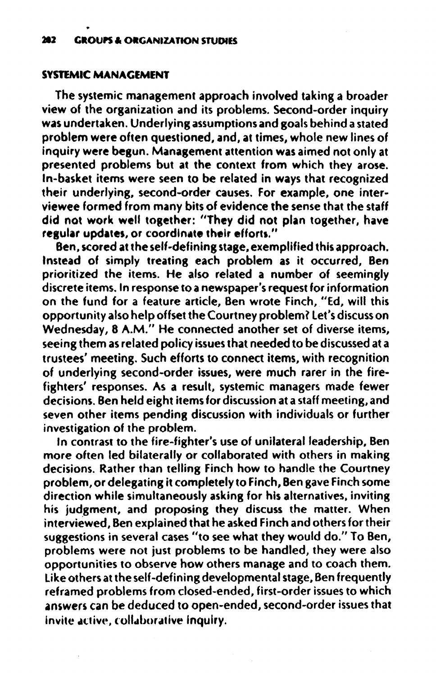#### SYSTEMIC MANACEMENT

The systemic management approach involved taking a broader view of the organization and its problems. Second-order inquiry was undertaken. Underlying assumptions and goals behind astated problem were often questioned, and, at times, whole new lines of inquiry were begun. Management attention was aimed not only at presented problems but at the context from which they arose. In-basket items were seen to be related in ways that recognized their underlying, second-order causes. For example, one interviewee formed from many bits of evidence the sense that the staff did not work well together: "They did not plan together, have regular updates, or coordinate their efforts."

Ben, scored at the self-defining stage, exemplified this approach. Instead of simply treating each problem as it occurred, Ben prioritized the items. He also related a number of seemingly discrete items. In response to anewspaper's request for information on the fund for a feature article, Ben wrote Finch, "Ed, will this opportunity also help offset the Courtney problem? let's discuss on Wednesday, 8 A.M." He connected another set of diverse items, seeing them as related policy issues that needed to be discussed at a trustees' meeting. Such efforts to connect items, with recognition of underlying second-order issues, were much rarer in the firefighters' responses. As a result, systemic managers made fewer decisions. Ben held eight items for discussion at astaff meeting, and seven other items pending discussion with individuals or further investigation of the problem.

In contrast to the fire-fighter's use of unilateral leadership, Ben more often led bilaterally or collaborated with others in making decisions. Rather than telling Finch how to handle the Courtney problem, or delegating it completely to Finch, Ben gave Finch some direction while simultaneously asking for his alternatives. inviting his judgment, and proposing they discuss the matter. When interviewed, Ben explained that he asked Finch and others for their suggestions in several cases "to see what they would do." To Ben, problems were not just problems to be handled, they were also opportunities to observe how others manage and to coach them. like others at the self-defining developmental stage, Ben frequently reframed problems from closed-ended, first-order issues to which answers can be deduced to open-ended, second-order issues that invite active, collaborative inquiry.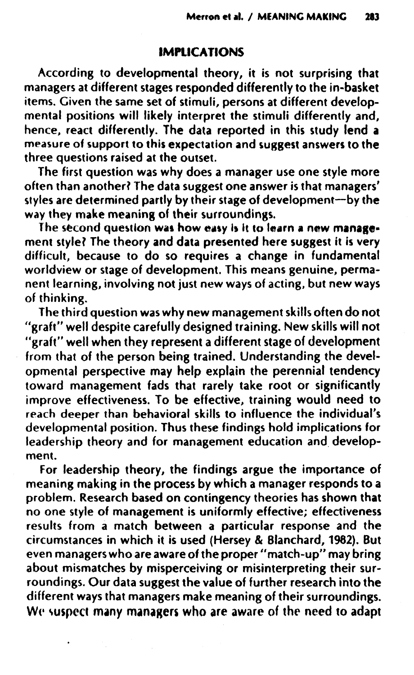#### IMPLICATIONS

According to developmental theory, it is not surprising that managers at different stages responded differently to the in-basket items. Given the same set of stimuli, persons at different developmental positions will likely interpret the stimuli differently and, hence, react differently. The data reported in this study lend a measure of support to this expectation and sussest answers to the three questions raised at the outset.

The first question was why does a manager use one style more often than another? The data suggest one answer is that managers' styles are determined partly by their stage of development-by the way they make meaning of their surroundings.

The second question was how easy is it to learn a new management style? The theory and data presented here suggest it is very difficult, because to do so requires a change in fundamental worldview or stage of development. This means genuine, permanent learning, involving not just new ways of acting, but new ways of thinking.

The third question was why new management skills often do not "graft" well despite carefully designed training. New skills will not "graft" well when they represent a different stage of development from that of the person being trained. Understanding the developmental perspective may help explain the perennial tendency toward management fads that rarely take root or significantly improve effectiveness. To be effective, training would need to reach deeper than behavioral skills to influence the individual's developmental position. Thus these findings hold implications for leadership theory and for management education and development.

For leadership theory, the findings argue the importance of meaning making in the process by which a manager responds to a problem. Research based on contingency theories has shown that no one style of management is uniformly effective; effectiveness results from a match between a particular response and the circumstances in which it is used (Hersey & Blanchard, 1982). But even managers who are aware of the proper "match-up" may bring about mismatches by misperceiving or misinterpreting their surroundings. Our data suggest the value of further research into the different ways that managers make meaning of their surroundings. We suspect many managers who are aware of the need to adapt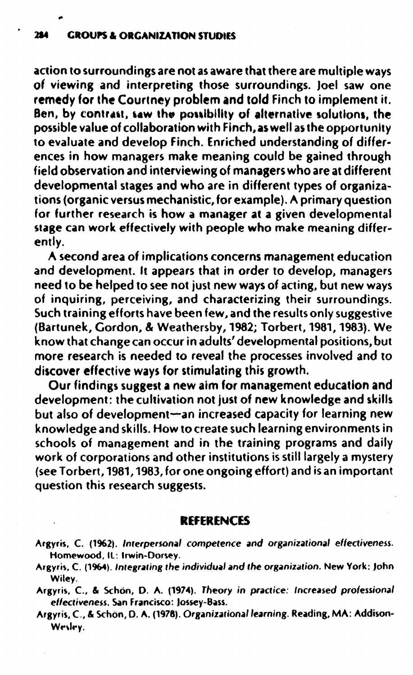action to surroundings are not as aware that there are multiple ways of viewing and interpreting those surroundings. Joel saw one remedy for the Courtney problem and told finch to implement it. Ben, by contrast, saw the possibility of alternative solutions, the possible value of collaboration with Finch, as well as the opportunity to evaluate and develop Finch. Enriched understanding of differences in how managers make meaning could be gained through field observation and interviewing of managers who are at different developmental stages and who are in different types of organizations (organic versus mechanistic, for example). A primary question for further research is how a manager at a given developmental stage can work effectively with people who make meaning differently.

A second area of implications concerns management education and development. It appears that in order to develop, managers need to be helped to see not just new ways of acting, but new ways of inquiring, perceiving, and characterizing their surroundings. Such training efforts have been few, and the results only suggestive (Bartunek, Gordon, & Weathersby, 1982; Torbert, 1981, 1983). We know that change can occur in adults' developmental positions, but more research is needed to reveal the processes involved and to discover effective ways for stimulating this growth.

Our findings suggest a new aim for management education and development: the cultivation not just of new knowledge and skills but also of development-an increased capacity for learning new knowledge and skills. How to create such learning environments in schools of management and in the training programs and daily work of corporations and other institutions is still largely a mystery (see Torbert, 1981, 1983, for one ongoing effort) and is an important question this research suggests.

#### REFERENCES

Argyris, C. (1962). Interpersonal competence and organizational effectiveness. Homewood, IL: Irwin-Dorsey.

Argyris, C. (1964). Integrating the individual and the organization. New York: John Wiley.

Argyris. C, & Schon, O. A. (1974). Theory in practice: Increased professional effectiveness. San Francisco: Jossey-Bass.

Argyris, C., & Schön, D. A. (1978). Organizational learning. Reading, MA: Addison-Wesley.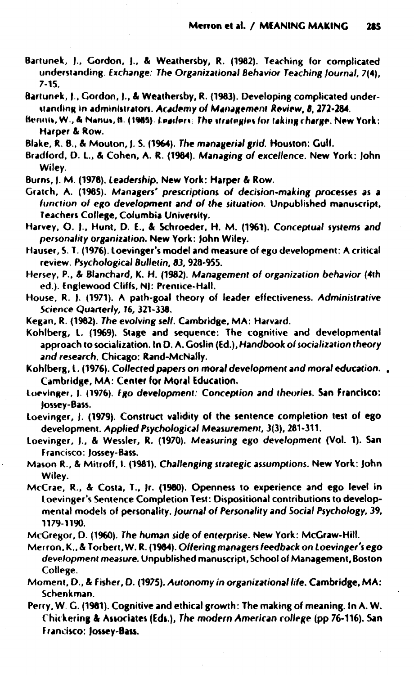- Bartunek, J., Gordon, J., & Weathersby, R. (1982). Teaching for complicated understanding. Exchange: The Organizational Behavior Teaching Journal, 7(4),  $7 - 15$
- Bartunek, J., Gordon, J., & Weathersby, R. (1983). Developing complicated understanding in administrators. Academy of Management Review, 8, 272-284.
- Bennis, W., & Nanus, B. (1985). Leaders: The strategies for taking charge. New York: Harper & Row.
- Blake, R. B., & Mouton, J. S. (1964). The managerial grid. Houston: Gulf.
- Bradford, D. L., & Cohen, A. R. (1984). Managing of excellence. New York: John Wiley.
- Burns, J. M. (1978). Leadership. New York: Harper & Row.
- Gratch, A. (1985). Managers' prescriptions of decision-making processes as a function of ego development and of the situation. Unpublished manuscript, Teachers College, Columbia University.
- Harvey, O. J., Hunt, D. E., & Schroeder, H. M. (1961). Conceptual systems and personality organization. New York: John Wiley.
- Hauser, S. T. (1976). Loevinger's model and measure of ego development: A critical review. Psychological Bulletin, 83, 928-955.
- Hersey, P., & Blanchard, K. H. (1982). Management of organization behavior (4th ed.). Englewood Cliffs, NJ: Prentice-Hall.
- House, R. J. (1971). A path-goal theory of leader effectiveness. Administrative Science Quarterly, 16, 321-338.
- Kegan, R. (1982). The evolving self. Cambridge, MA: Harvard.
- Kohlberg, L. (1969). Stage and sequence: The cognitive and developmental approach to socialization. In D. A. Goslin (Ed.), Handbook of socialization theory and research, Chicago; Rand-McNally.
- Kohlberg, L. (1976). Collected papers on moral development and moral education. . Cambridge, MA: Center for Moral Education.
- Loevinger, J. (1976). Ego development: Conception and theories. San Francisco: lossey-Bass.
- Loevinger, J. (1979). Construct validity of the sentence completion test of ego development. Applied Psychological Measurement, 3(3), 281-311.
- Loevinger, J., & Wessler, R. (1970). Measuring ego development (Vol. 1). San Francisco: Jossey-Bass.
- Mason R., & Mitroff, I. (1981). Challenging strategic assumptions. New York: John Wiley.
- McCrae, R., & Costa, T., Jr. (1980). Openness to experience and ego level in Loevinger's Sentence Completion Test: Dispositional contributions to developmental models of personality. Journal of Personality and Social Psychology, 39, 1179-1190.
- McGregor, D. (1960). The human side of enterprise. New York: McGraw-Hill.
- Merron, K., & Torbert, W. R. (1984). Offering managers feedback on Loevinger's ego development measure. Unpublished manuscript, School of Management, Boston College.
- Moment, D., & Fisher, D. (1975). Autonomy in organizational life. Cambridge, MA: Schenkman.
- Perry, W. G. (1981). Cognitive and ethical growth: The making of meaning. In A. W. Chickering & Associates (Eds.), The modern American college (pp 76-116). San Francisco: Jossey-Bass.